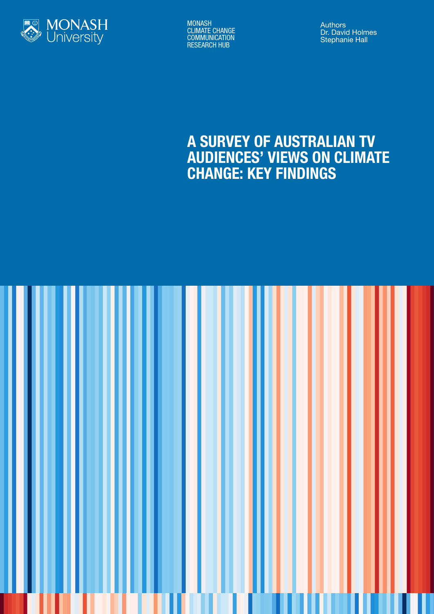

MONASH CLIMATE CHANGE **COMMUNICATION** RESEARCH HUB

Authors Dr. David Holmes Stephanie Hall

# A SURVEY OF AUSTRALIAN TV AUDIENCES' VIEWS ON CLIMATE CHANGE: KEY FINDINGS

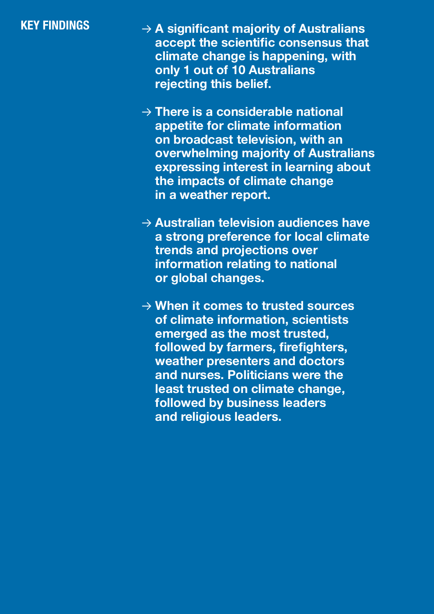# KEY FINDINGS

- → **A significant majority of Australians accept the scientific consensus that climate change is happening, with only 1 out of 10 Australians rejecting this belief.**
- → **There is a considerable national appetite for climate information on broadcast television, with an overwhelming majority of Australians expressing interest in learning about the impacts of climate change in a weather report.**
- → **Australian television audiences have a strong preference for local climate trends and projections over information relating to national or global changes.**
- → **When it comes to trusted sources of climate information, scientists emerged as the most trusted, followed by farmers, firefighters, weather presenters and doctors and nurses. Politicians were the least trusted on climate change, followed by business leaders and religious leaders.**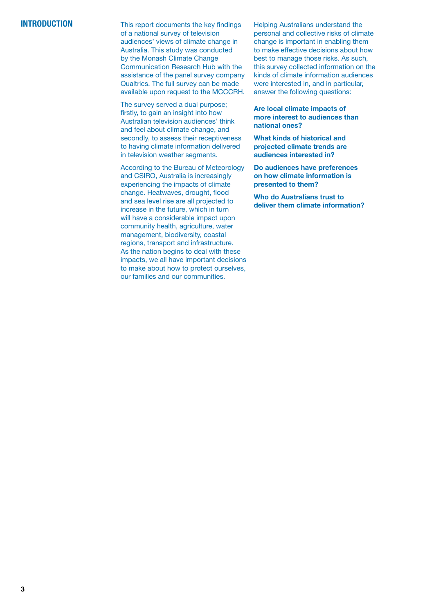# **INTRODUCTION**

This report documents the key findings of a national survey of television audiences' views of climate change in Australia. This study was conducted by the Monash Climate Change Communication Research Hub with the assistance of the panel survey company Qualtrics. The full survey can be made available upon request to the MCCCRH.

The survey served a dual purpose; firstly, to gain an insight into how Australian television audiences' think and feel about climate change, and secondly, to assess their receptiveness to having climate information delivered in television weather segments.

According to the Bureau of Meteorology and CSIRO, Australia is increasingly experiencing the impacts of climate change. Heatwaves, drought, flood and sea level rise are all projected to increase in the future, which in turn will have a considerable impact upon community health, agriculture, water management, biodiversity, coastal regions, transport and infrastructure. As the nation begins to deal with these impacts, we all have important decisions to make about how to protect ourselves, our families and our communities.

Helping Australians understand the personal and collective risks of climate change is important in enabling them to make effective decisions about how best to manage those risks. As such, this survey collected information on the kinds of climate information audiences were interested in, and in particular, answer the following questions:

**Are local climate impacts of more interest to audiences than national ones?**

**What kinds of historical and projected climate trends are audiences interested in?**

**Do audiences have preferences on how climate information is presented to them?**

**Who do Australians trust to deliver them climate information?**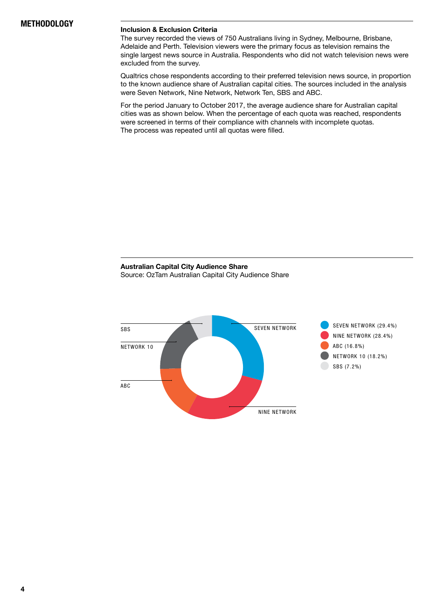#### **Inclusion & Exclusion Criteria**

The survey recorded the views of 750 Australians living in Sydney, Melbourne, Brisbane, Adelaide and Perth. Television viewers were the primary focus as television remains the single largest news source in Australia. Respondents who did not watch television news were excluded from the survey.

Qualtrics chose respondents according to their preferred television news source, in proportion to the known audience share of Australian capital cities. The sources included in the analysis were Seven Network, Nine Network, Network Ten, SBS and ABC.

For the period January to October 2017, the average audience share for Australian capital cities was as shown below. When the percentage of each quota was reached, respondents were screened in terms of their compliance with channels with incomplete quotas. The process was repeated until all quotas were filled.

### **Australian Capital City Audience Share** Source: OzTam Australian Capital City Audience Share

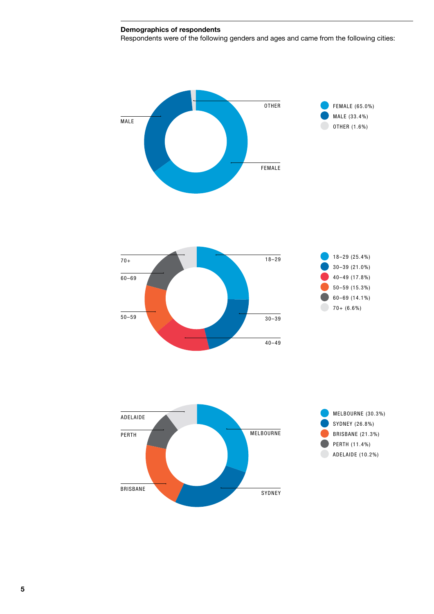## **Demographics of respondents**

BRISBANE

Respondents were of the following genders and ages and came from the following cities:



SYDNEY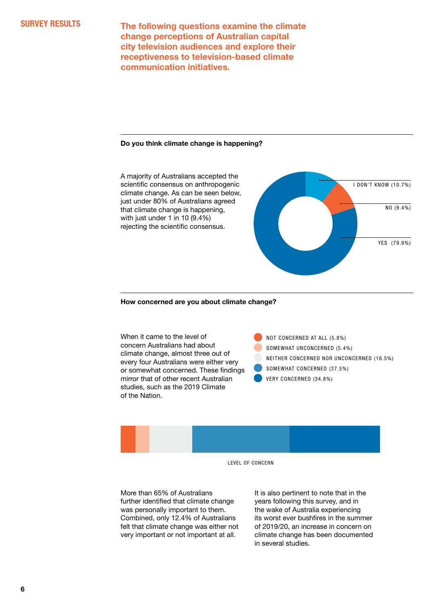**The following questions examine the climate change perceptions of Australian capital city television audiences and explore their receptiveness to television-based climate communication initiatives.**

#### **Do you think climate change is happening?**



#### **How concerned are you about climate change?**

When it came to the level of concern Australians had about climate change, almost three out of every four Australians were either very or somewhat concerned. These findings mirror that of other recent Australian studies, such as the 2019 Climate of the Nation.

 NOT CONCERNED AT ALL (5.8%) SOMEWHAT UNCONCERNED (5.4%) NEITHER CONCERNED NOR UNCONCERNED (16.5%) SOMEWHAT CONCERNED (37.5%) VERY CONCERNED (34.8%)



LEVEL OF CONCERN

More than 65% of Australians further identified that climate change was personally important to them. Combined, only 12.4% of Australians felt that climate change was either not very important or not important at all.

It is also pertinent to note that in the years following this survey, and in the wake of Australia experiencing its worst ever bushfires in the summer of 2019/20, an increase in concern on climate change has been documented in several studies.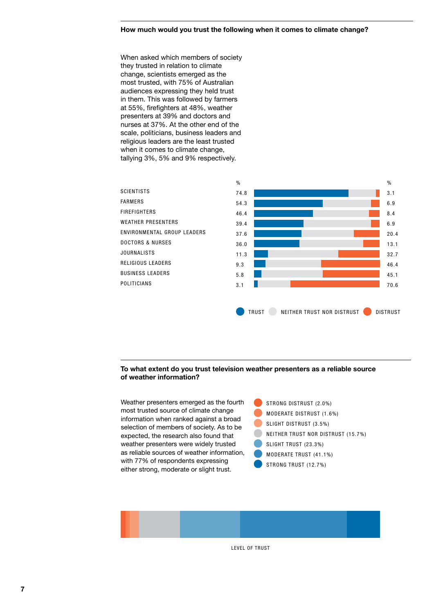#### **How much would you trust the following when it comes to climate change?**

When asked which members of society they trusted in relation to climate change, scientists emerged as the most trusted, with 75% of Australian audiences expressing they held trust in them. This was followed by farmers at 55%, firefighters at 48%, weather presenters at 39% and doctors and nurses at 37%. At the other end of the scale, politicians, business leaders and religious leaders are the least trusted when it comes to climate change, tallying 3%, 5% and 9% respectively.



#### **To what extent do you trust television weather presenters as a reliable source of weather information?**

Weather presenters emerged as the fourth most trusted source of climate change information when ranked against a broad selection of members of society. As to be expected, the research also found that weather presenters were widely trusted as reliable sources of weather information, with 77% of respondents expressing either strong, moderate or slight trust.

 STRONG DISTRUST (2.0%) MODERATE DISTRUST (1.6%) SLIGHT DISTRUST (3.5%) NEITHER TRUST NOR DISTRUST (15.7%) SLIGHT TRUST (23.3%) MODERATE TRUST (41.1%) STRONG TRUST (12.7%)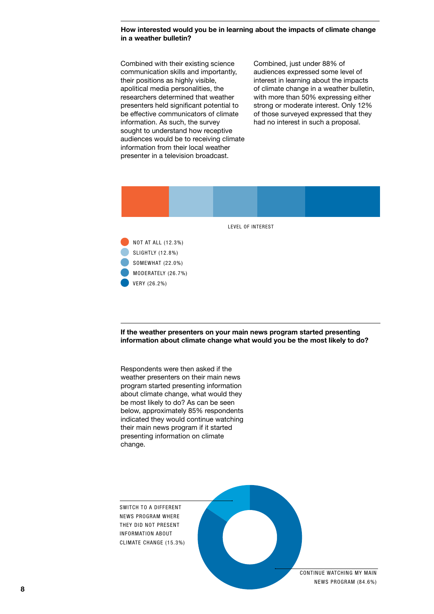#### **How interested would you be in learning about the impacts of climate change in a weather bulletin?**

Combined with their existing science communication skills and importantly, their positions as highly visible. apolitical media personalities, the researchers determined that weather presenters held significant potential to be effective communicators of climate information. As such, the survey sought to understand how receptive audiences would be to receiving climate information from their local weather presenter in a television broadcast.

Combined, just under 88% of audiences expressed some level of interest in learning about the impacts of climate change in a weather bulletin, with more than 50% expressing either strong or moderate interest. Only 12% of those surveyed expressed that they had no interest in such a proposal.



**If the weather presenters on your main news program started presenting information about climate change what would you be the most likely to do?**

Respondents were then asked if the weather presenters on their main news program started presenting information about climate change, what would they be most likely to do? As can be seen below, approximately 85% respondents indicated they would continue watching their main news program if it started presenting information on climate change.

SWITCH TO A DIFFERENT NEWS PROGRAM WHERE THEY DID NOT PRESENT INFORMATION ABOUT CLIMATE CHANGE (15.3%)

VERY (26.2%)

CONTINUE WATCHING MY MAIN NEWS PROGRAM (84.6%)

**8**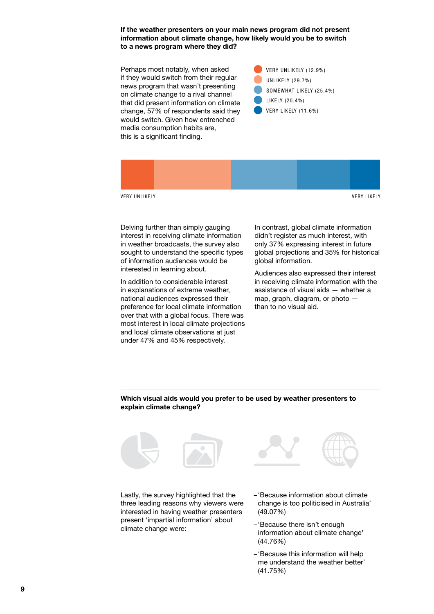**If the weather presenters on your main news program did not present information about climate change, how likely would you be to switch to a news program where they did?**

Perhaps most notably, when asked if they would switch from their regular news program that wasn't presenting on climate change to a rival channel that did present information on climate change, 57% of respondents said they would switch. Given how entrenched media consumption habits are, this is a significant finding.





Delving further than simply gauging interest in receiving climate information in weather broadcasts, the survey also sought to understand the specific types of information audiences would be interested in learning about.

In addition to considerable interest in explanations of extreme weather, national audiences expressed their preference for local climate information over that with a global focus. There was most interest in local climate projections and local climate observations at just under 47% and 45% respectively.

In contrast, global climate information didn't register as much interest, with only 37% expressing interest in future global projections and 35% for historical global information.

Audiences also expressed their interest in receiving climate information with the assistance of visual aids — whether a map, graph, diagram, or photo than to no visual aid.

#### **Which visual aids would you prefer to be used by weather presenters to explain climate change?**





Lastly, the survey highlighted that the three leading reasons why viewers were interested in having weather presenters present 'impartial information' about climate change were:

- –'Because information about climate change is too politicised in Australia' (49.07%)
- –'Because there isn't enough information about climate change' (44.76%)
- –'Because this information will help me understand the weather better' (41.75%)